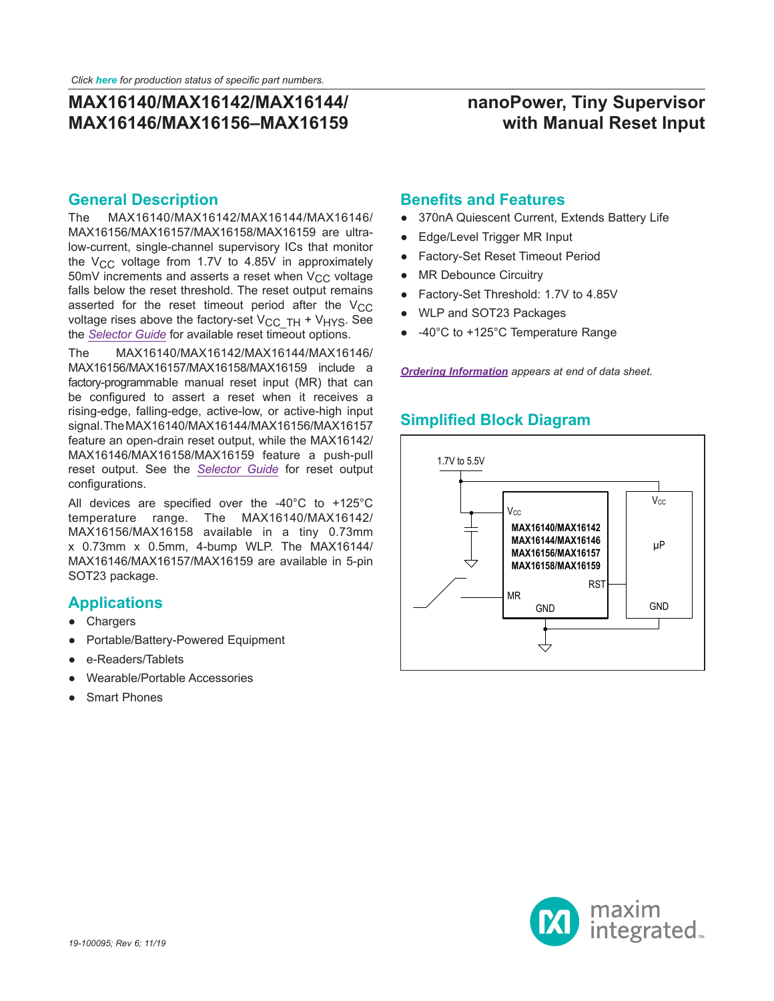## **nanoPower, Tiny Supervisor with Manual Reset Input**

#### **General Description**

The MAX16140/MAX16142/MAX16144/MAX16146/ MAX16156/MAX16157/MAX16158/MAX16159 are ultralow-current, single-channel supervisory ICs that monitor the  $V_{CC}$  voltage from 1.7V to 4.85V in approximately 50mV increments and asserts a reset when  $V_{CC}$  voltage falls below the reset threshold. The reset output remains asserted for the reset timeout period after the  $V_{CC}$ voltage rises above the factory-set  $V_{CC}$  TH + V<sub>HYS</sub>. See the *[Selector Guide](#page-9-0)* for available reset timeout options.

The MAX16140/MAX16142/MAX16144/MAX16146/ MAX16156/MAX16157/MAX16158/MAX16159 include a factory-programmable manual reset input (MR) that can be configured to assert a reset when it receives a rising-edge, falling-edge, active-low, or active-high input signal. The MAX16140/MAX16144/MAX16156/MAX16157 feature an open-drain reset output, while the MAX16142/ MAX16146/MAX16158/MAX16159 feature a push-pull reset output. See the *[Selector Guide](#page-9-0)* for reset output configurations.

All devices are specified over the -40°C to +125°C temperature range. The MAX16140/MAX16142/ MAX16156/MAX16158 available in a tiny 0.73mm x 0.73mm x 0.5mm, 4-bump WLP. The MAX16144/ MAX16146/MAX16157/MAX16159 are available in 5-pin SOT23 package.

#### **Applications**

- Chargers
- Portable/Battery-Powered Equipment
- e-Readers/Tablets
- Wearable/Portable Accessories
- **Smart Phones**

### **Benefits and Features**

- 370nA Quiescent Current, Extends Battery Life
- Edge/Level Trigger MR Input
- **Factory-Set Reset Timeout Period**
- MR Debounce Circuitry
- Factory-Set Threshold: 1.7V to 4.85V
- WLP and SOT23 Packages
- -40°C to +125°C Temperature Range

*[Ordering Information](#page-10-0) appears at end of data sheet.*

## **Simplified Block Diagram**



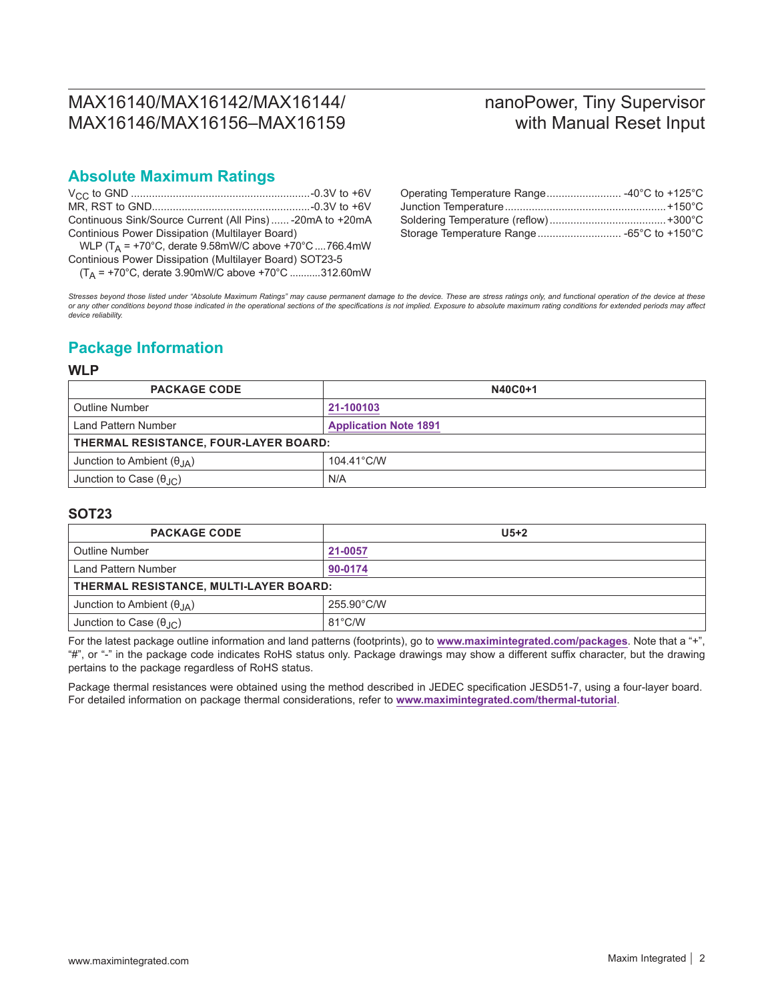# nanoPower, Tiny Supervisor with Manual Reset Input

## **Absolute Maximum Ratings**

| Continuous Sink/Source Current (All Pins)  - 20mA to +20mA |  |
|------------------------------------------------------------|--|
| Continious Power Dissipation (Multilayer Board)            |  |

WLP (T<sub>A</sub> = +70°C, derate 9.58mW/C above +70°C ....766.4mW Continious Power Dissipation (Multilayer Board) SOT23-5

 $(T_A = +70^{\circ}C,$  derate 3.90mW/C above  $+70^{\circ}C$  ...........312.60mW

| Operating Temperature Range -40°C to +125°C |  |
|---------------------------------------------|--|
|                                             |  |
|                                             |  |
| Storage Temperature Range -65°C to +150°C   |  |

*Stresses beyond those listed under "Absolute Maximum Ratings" may cause permanent damage to the device. These are stress ratings only, and functional operation of the device at these*  or any other conditions beyond those indicated in the operational sections of the specifications is not implied. Exposure to absolute maximum rating conditions for extended periods may affect<br>device reliability.

## **Package Information**

#### **WLP**

| <b>PACKAGE CODE</b>                     | N40C0+1                      |  |  |  |
|-----------------------------------------|------------------------------|--|--|--|
| <b>Outline Number</b>                   | 21-100103                    |  |  |  |
| Land Pattern Number                     | <b>Application Note 1891</b> |  |  |  |
| THERMAL RESISTANCE, FOUR-LAYER BOARD:   |                              |  |  |  |
| Junction to Ambient $(\theta_{JA})$     | 104.41°C/W                   |  |  |  |
| Junction to Case $(\theta_{\text{JC}})$ | N/A                          |  |  |  |

#### **SOT23**

| <b>PACKAGE CODE</b>                     | $U5+2$           |  |  |  |
|-----------------------------------------|------------------|--|--|--|
| <b>Outline Number</b>                   | 21-0057          |  |  |  |
| Land Pattern Number                     | 90-0174          |  |  |  |
| THERMAL RESISTANCE, MULTI-LAYER BOARD:  |                  |  |  |  |
| Junction to Ambient $(\theta_{JA})$     | 255.90°C/W       |  |  |  |
| Junction to Case $(\theta_{\text{JC}})$ | $81^{\circ}$ C/W |  |  |  |

For the latest package outline information and land patterns (footprints), go to **[www.maximintegrated.com/packages](http://www.maximintegrated.com/packages)**. Note that a "+", "#", or "-" in the package code indicates RoHS status only. Package drawings may show a different suffix character, but the drawing pertains to the package regardless of RoHS status.

Package thermal resistances were obtained using the method described in JEDEC specification JESD51-7, using a four-layer board. For detailed information on package thermal considerations, refer to **[www.maximintegrated.com/thermal-tutorial](http://www.pdfserv.maximintegrated.com/package_dwgs/21-0136.PDF)**.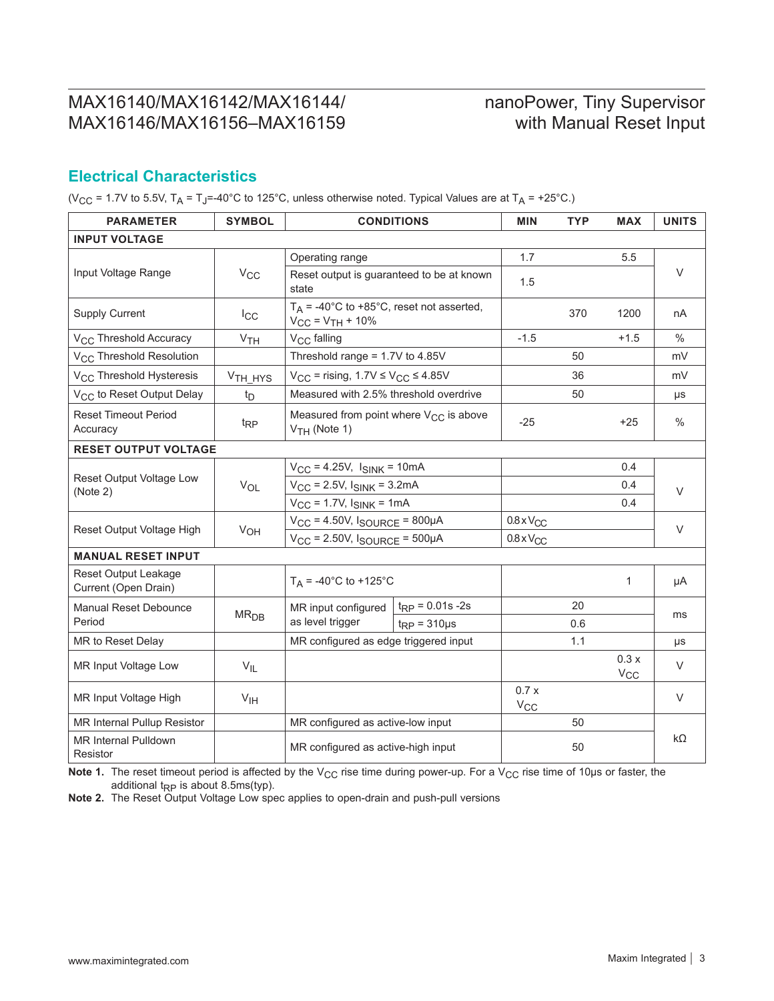# nanoPower, Tiny Supervisor with Manual Reset Input

## **Electrical Characteristics**

(V<sub>CC</sub> = 1.7V to 5.5V, T<sub>A</sub> = T<sub>J</sub>=-40°C to 125°C, unless otherwise noted. Typical Values are at T<sub>A</sub> = +25°C.)

| <b>PARAMETER</b>                                    | <b>SYMBOL</b>       |                                                                         | <b>CONDITIONS</b>     | MIN                 | <b>TYP</b> | <b>MAX</b>       | <b>UNITS</b>  |
|-----------------------------------------------------|---------------------|-------------------------------------------------------------------------|-----------------------|---------------------|------------|------------------|---------------|
| <b>INPUT VOLTAGE</b>                                |                     |                                                                         |                       |                     |            |                  |               |
|                                                     |                     | Operating range                                                         |                       | 1.7                 |            | 5.5              |               |
| Input Voltage Range                                 | $V_{CC}$            | Reset output is guaranteed to be at known<br>state                      |                       | 1.5                 |            |                  | $\vee$        |
| <b>Supply Current</b>                               | $I_{\rm CC}$        | $T_A$ = -40°C to +85°C, reset not asserted,<br>$V_{CC} = V_{TH} + 10\%$ |                       |                     | 370        | 1200             | nA            |
| V <sub>CC</sub> Threshold Accuracy                  | V <sub>TH</sub>     | V <sub>CC</sub> falling                                                 |                       | $-1.5$              |            | $+1.5$           | $\frac{0}{0}$ |
| V <sub>CC</sub> Threshold Resolution                |                     | Threshold range = 1.7V to 4.85V                                         |                       |                     | 50         |                  | mV            |
| V <sub>CC</sub> Threshold Hysteresis                | V <sub>TH</sub> HYS | $V_{CC}$ = rising, 1.7V $\leq$ $V_{CC}$ $\leq$ 4.85V                    |                       |                     | 36         |                  | mV            |
| V <sub>CC</sub> to Reset Output Delay               | t <sub>D</sub>      | Measured with 2.5% threshold overdrive                                  |                       |                     | 50         |                  | μs            |
| <b>Reset Timeout Period</b><br>Accuracy             | $t_{RP}$            | Measured from point where V <sub>CC</sub> is above<br>$VTH$ (Note 1)    |                       | $-25$               |            | $+25$            | $\frac{0}{0}$ |
| <b>RESET OUTPUT VOLTAGE</b>                         |                     |                                                                         |                       |                     |            |                  |               |
|                                                     | $V_{OL}$            | $V_{CC}$ = 4.25V, $I_{SINK}$ = 10mA                                     |                       |                     |            | 0.4              |               |
| Reset Output Voltage Low<br>(Note 2)                |                     | $V_{CC}$ = 2.5V, $I_{SINK}$ = 3.2mA                                     |                       |                     |            | 0.4              | V             |
|                                                     |                     | $V_{CC}$ = 1.7V, $I_{SINK}$ = 1mA                                       |                       |                     |            | 0.4              |               |
| Reset Output Voltage High                           | V <sub>OH</sub>     | $V_{CC}$ = 4.50V, $I_{SOURCE}$ = 800µA                                  |                       | $0.8 \times V_{CC}$ |            |                  | $\vee$        |
|                                                     |                     | $V_{CC}$ = 2.50V, $I_{SOURCE}$ = 500µA                                  |                       | $0.8 \times V_{CC}$ |            |                  |               |
| <b>MANUAL RESET INPUT</b>                           |                     |                                                                         |                       |                     |            |                  |               |
| <b>Reset Output Leakage</b><br>Current (Open Drain) |                     | $T_A = -40^{\circ}C$ to $+125^{\circ}C$                                 |                       |                     |            | $\mathbf{1}$     | μA            |
| <b>Manual Reset Debounce</b>                        | MR <sub>DB</sub>    | MR input configured                                                     | $t_{RP} = 0.01s - 2s$ |                     | 20         |                  |               |
| Period                                              |                     | as level trigger                                                        | $t_{RP} = 310 \mu s$  |                     | 0.6        |                  | ms            |
| MR to Reset Delay                                   |                     | MR configured as edge triggered input                                   |                       |                     | 1.1        |                  | μs            |
| MR Input Voltage Low                                | $V_{IL}$            |                                                                         |                       |                     |            | 0.3x<br>$V_{CC}$ | $\vee$        |
| MR Input Voltage High                               | V <sub>IH</sub>     |                                                                         |                       | 0.7x<br>$V_{CC}$    |            |                  | $\vee$        |
| MR Internal Pullup Resistor                         |                     | MR configured as active-low input                                       |                       |                     | 50         |                  |               |
| <b>MR Internal Pulldown</b><br>Resistor             |                     | MR configured as active-high input                                      |                       |                     | 50         |                  | $k\Omega$     |

Note 1. The reset timeout period is affected by the V<sub>CC</sub> rise time during power-up. For a V<sub>CC</sub> rise time of 10µs or faster, the additional  $t_{RP}$  is about 8.5ms(typ).

**Note 2.** The Reset Output Voltage Low spec applies to open-drain and push-pull versions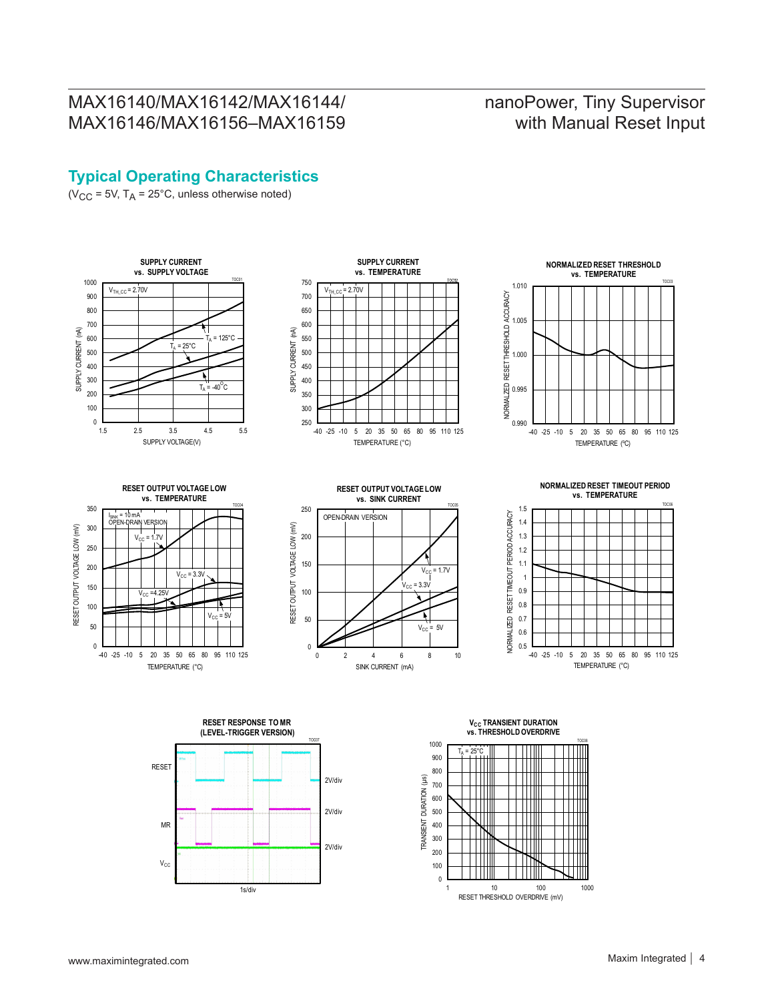# nanoPower, Tiny Supervisor with Manual Reset Input

## **Typical Operating Characteristics**

( $V_{CC}$  = 5V,  $T_A$  = 25°C, unless otherwise noted)





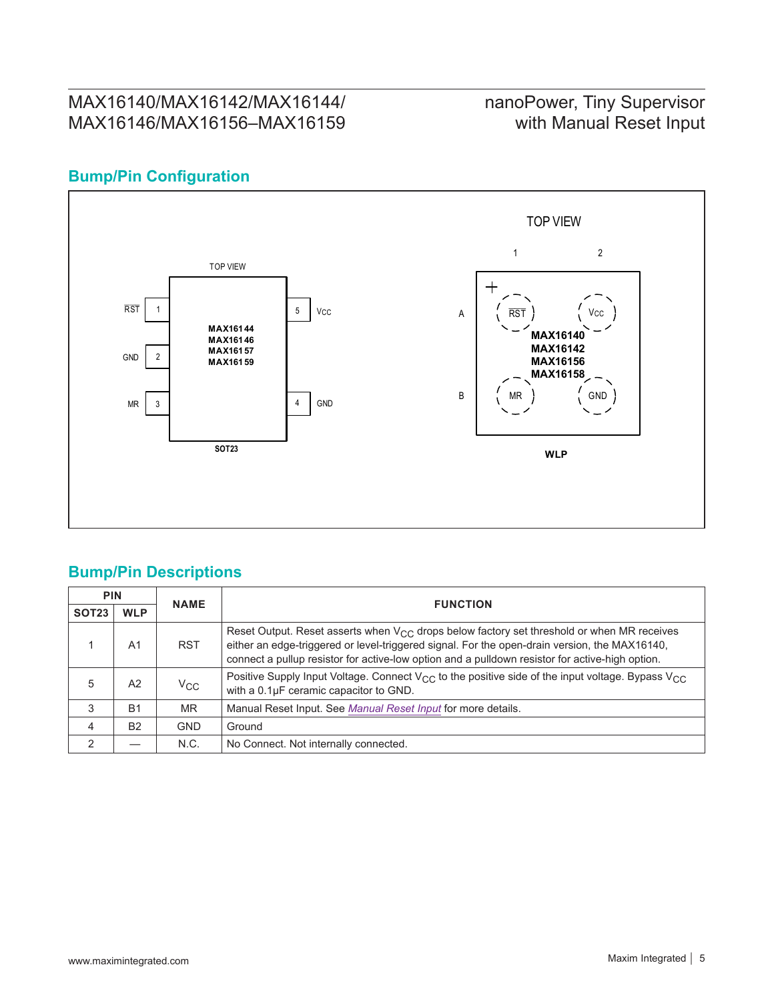# nanoPower, Tiny Supervisor with Manual Reset Input

## **Bump/Pin Configuration**



## **Bump/Pin Descriptions**

| <b>PIN</b>     |                | <b>NAME</b> | <b>FUNCTION</b>                                                                                                                                                                                                                                                                                     |  |  |
|----------------|----------------|-------------|-----------------------------------------------------------------------------------------------------------------------------------------------------------------------------------------------------------------------------------------------------------------------------------------------------|--|--|
| <b>SOT23</b>   | <b>WLP</b>     |             |                                                                                                                                                                                                                                                                                                     |  |  |
|                | A <sub>1</sub> | <b>RST</b>  | Reset Output. Reset asserts when $V_{CC}$ drops below factory set threshold or when MR receives<br>either an edge-triggered or level-triggered signal. For the open-drain version, the MAX16140,<br>connect a pullup resistor for active-low option and a pulldown resistor for active-high option. |  |  |
| 5              | A2             | $V_{CC}$    | Positive Supply Input Voltage. Connect $V_{CC}$ to the positive side of the input voltage. Bypass $V_{CC}$<br>with a 0.1µF ceramic capacitor to GND.                                                                                                                                                |  |  |
| 3              | <b>B1</b>      | <b>MR</b>   | Manual Reset Input. See Manual Reset Input for more details.                                                                                                                                                                                                                                        |  |  |
| $\overline{4}$ | <b>B2</b>      | <b>GND</b>  | Ground                                                                                                                                                                                                                                                                                              |  |  |
| $\mathcal{P}$  |                | N.C.        | No Connect. Not internally connected.                                                                                                                                                                                                                                                               |  |  |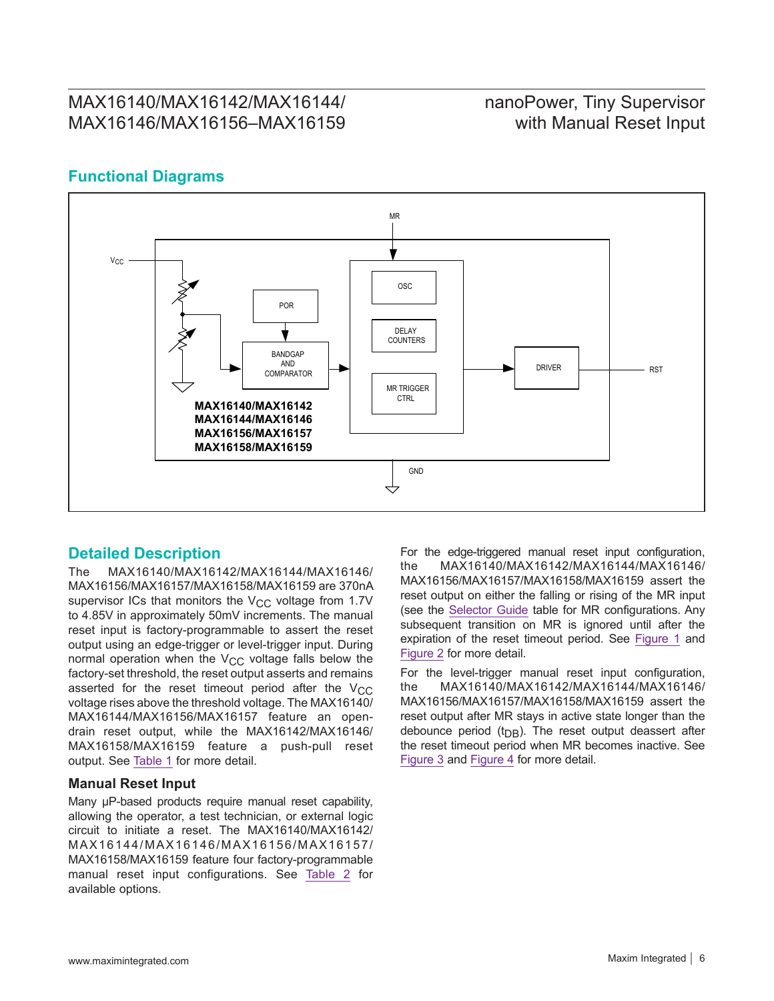## nanoPower, Tiny Supervisor with Manual Reset Input

## **Functional Diagrams**



### **Detailed Description**

The MAX16140/MAX16142/MAX16144/MAX16146/ MAX16156/MAX16157/MAX16158/MAX16159 are 370nA supervisor ICs that monitors the  $V_{CC}$  voltage from 1.7V to 4.85V in approximately 50mV increments. The manual reset input is factory-programmable to assert the reset output using an edge-trigger or level-trigger input. During normal operation when the  $V_{CC}$  voltage falls below the factory-set threshold, the reset output asserts and remains asserted for the reset timeout period after the  $V_{CC}$ voltage rises above the threshold voltage. The MAX16140/ MAX16144/MAX16156/MAX16157 feature an opendrain reset output, while the MAX16142/MAX16146/ MAX16158/MAX16159 feature a push-pull reset output. See [Table 1](#page-8-0) for more detail.

#### <span id="page-5-0"></span>**Manual Reset Input**

Many μP-based products require manual reset capability, allowing the operator, a test technician, or external logic circuit to initiate a reset. The MAX16140/MAX16142/ MAX16144/MAX16146/MAX16156/MAX16157/ MAX16158/MAX16159 feature four factory-programmable manual reset input configurations. See [Table 2](#page-8-1) for available options.

For the edge-triggered manual reset input configuration, the MAX16140/MAX16142/MAX16144/MAX16146/ MAX16156/MAX16157/MAX16158/MAX16159 assert the reset output on either the falling or rising of the MR input (see the [Selector Guide](#page-9-0) table for MR configurations. Any subsequent transition on MR is ignored until after the expiration of the reset timeout period. See [Figure 1](#page-6-0) and [Figure 2](#page-6-1) for more detail.

For the level-trigger manual reset input configuration, the MAX16140/MAX16142/MAX16144/MAX16146/ MAX16156/MAX16157/MAX16158/MAX16159 assert the reset output after MR stays in active state longer than the debounce period ( $t_{DB}$ ). The reset output deassert after the reset timeout period when MR becomes inactive. See [Figure 3](#page-6-2) and [Figure 4](#page-7-0) for more detail.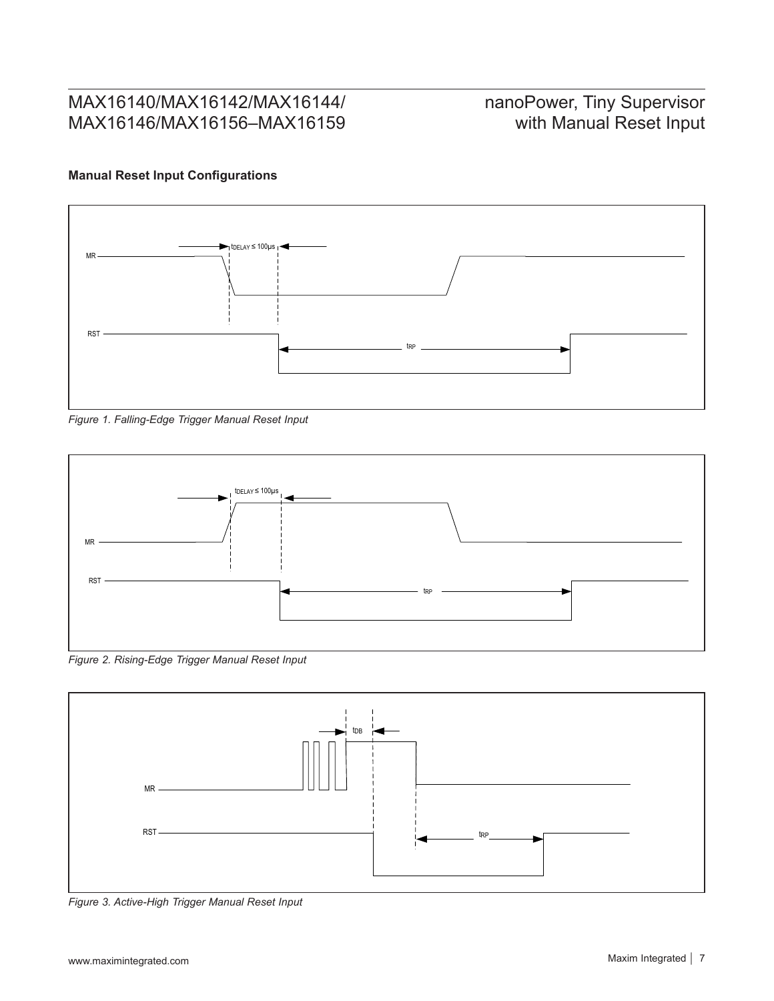# nanoPower, Tiny Supervisor with Manual Reset Input

## **Manual Reset Input Configurations**

<span id="page-6-0"></span>

*Figure 1. Falling-Edge Trigger Manual Reset Input*

<span id="page-6-1"></span>

*Figure 2. Rising-Edge Trigger Manual Reset Input*

<span id="page-6-2"></span>

*Figure 3. Active-High Trigger Manual Reset Input*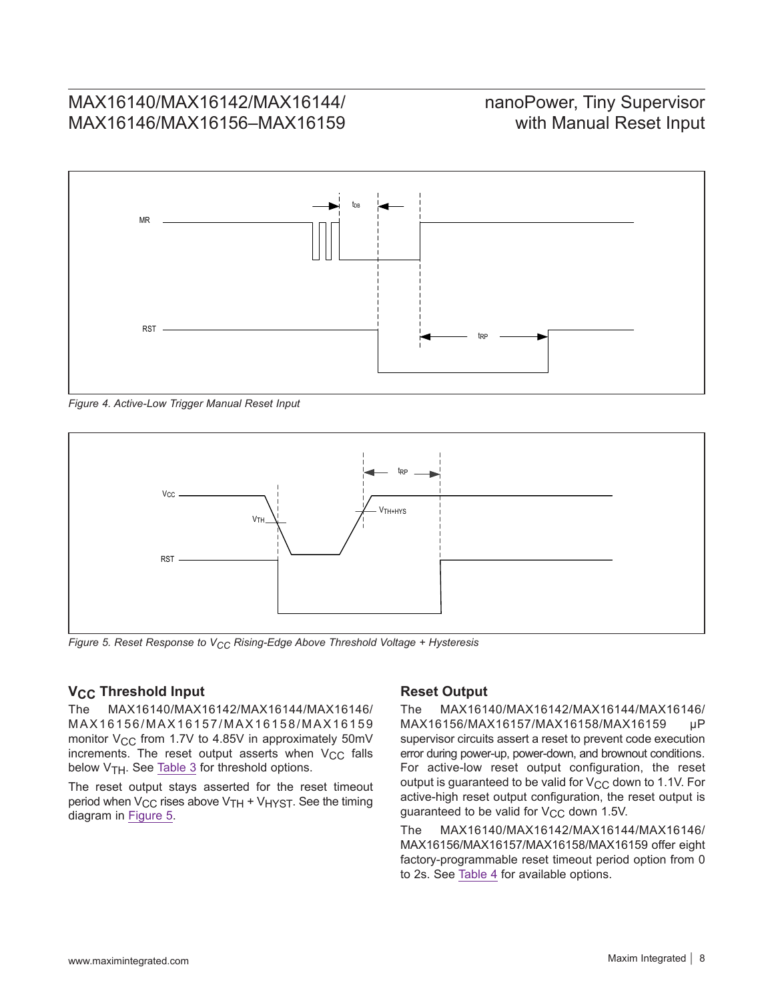# nanoPower, Tiny Supervisor with Manual Reset Input

<span id="page-7-0"></span>

*Figure 4. Active-Low Trigger Manual Reset Input*

<span id="page-7-1"></span>

*Figure 5. Reset Response to VCC Rising-Edge Above Threshold Voltage + Hysteresis*

# **V<sub>CC</sub>** Threshold Input<br>The MAX16140/MAX1

The MAX16140/MAX16142/MAX16144/MAX16146/ M A X 1 6 1 5 6 / M A X 1 6 1 5 7 / M A X 1 6 1 5 8 / M A X 1 6 1 5 9 monitor  $V_{CC}$  from 1.7V to 4.85V in approximately 50mV increments. The reset output asserts when  $V_{CC}$  falls below V<sub>TH</sub>. See [Table 3](#page-8-2) for threshold options.

The reset output stays asserted for the reset timeout period when  $V_{CC}$  rises above  $V_{TH}$  +  $V_{H}$ <sub>NST</sub>. See the timing diagram in [Figure 5.](#page-7-1)

#### **Reset Output**

The MAX16140/MAX16142/MAX16144/MAX16146/ MAX16156/MAX16157/MAX16158/MAX16159 µP supervisor circuits assert a reset to prevent code execution error during power-up, power-down, and brownout conditions. For active-low reset output configuration, the reset output is guaranteed to be valid for  $V_{CC}$  down to 1.1V. For active-high reset output configuration, the reset output is guaranteed to be valid for  $V_{CC}$  down 1.5V.

The MAX16140/MAX16142/MAX16144/MAX16146/ MAX16156/MAX16157/MAX16158/MAX16159 offer eight factory-programmable reset timeout period option from 0 to 2s. See [Table 4](#page-8-3) for available options.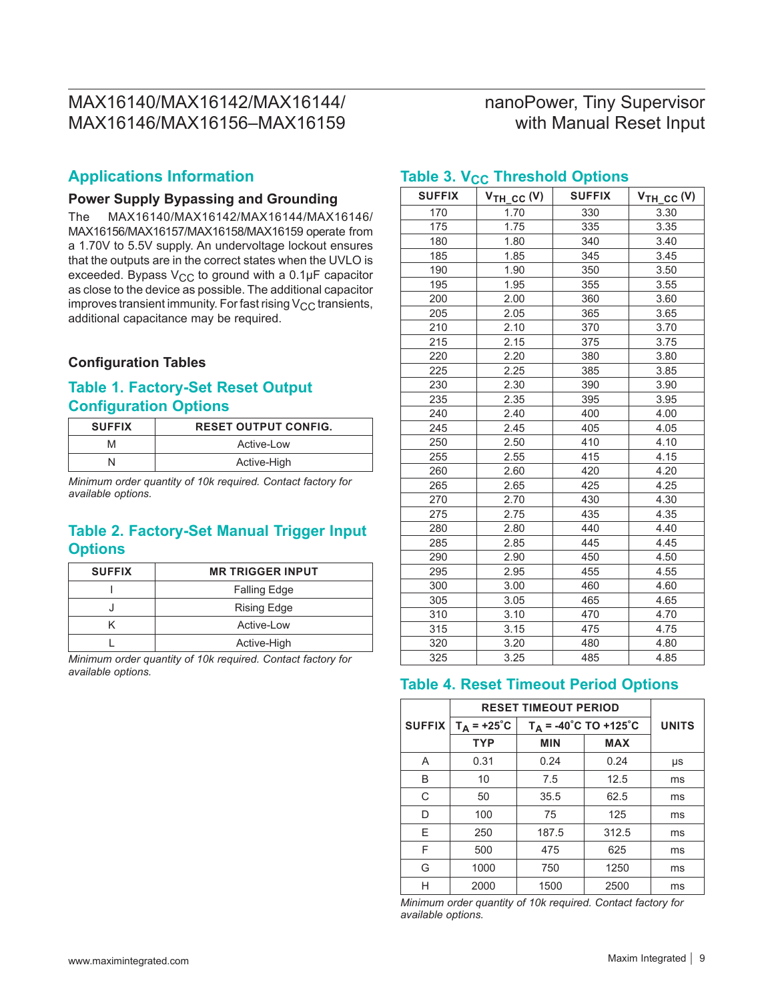# nanoPower, Tiny Supervisor with Manual Reset Input

### **Applications Information**

#### **Power Supply Bypassing and Grounding**

The MAX16140/MAX16142/MAX16144/MAX16146/ MAX16156/MAX16157/MAX16158/MAX16159 operate from a 1.70V to 5.5V supply. An undervoltage lockout ensures that the outputs are in the correct states when the UVLO is exceeded. Bypass  $V_{CC}$  to ground with a 0.1µF capacitor as close to the device as possible. The additional capacitor improves transient immunity. For fast rising  $V_{CC}$  transients, additional capacitance may be required.

#### **Configuration Tables**

### <span id="page-8-0"></span>**Table 1. Factory-Set Reset Output Configuration Options**

| <b>SUFFIX</b> | <b>RESET OUTPUT CONFIG.</b> |
|---------------|-----------------------------|
| м             | Active-Low                  |
|               | Active-High                 |

*Minimum order quantity of 10k required. Contact factory for available options.*

## <span id="page-8-1"></span>**Table 2. Factory-Set Manual Trigger Input Options**

| <b>SUFFIX</b> | <b>MR TRIGGER INPUT</b> |
|---------------|-------------------------|
|               | <b>Falling Edge</b>     |
|               | <b>Rising Edge</b>      |
|               | Active-Low              |
|               | Active-High             |

*Minimum order quantity of 10k required. Contact factory for available options.*

| <b>SUFFIX</b> | $V_{TH\_CC}$ (V) | <b>SUFFIX</b> | $V_{TH\_CC} (V)$ |
|---------------|------------------|---------------|------------------|
| 170           | 1.70             | 330           | 3.30             |
| 175           | 1.75             | 335           | 3.35             |
| 180           | 1.80             | 340           | 3.40             |
| 185           | 1.85             | 345           | 3.45             |
| 190           | 1.90             | 350           | 3.50             |
| 195           | 1.95             | 355           | 3.55             |
| 200           | 2.00             | 360           | 3.60             |
| 205           | 2.05             | 365           | 3.65             |
| 210           | 2.10             | 370           | 3.70             |
| 215           | 2.15             | 375           | 3.75             |
| 220           | 2.20             | 380           | 3.80             |
| 225           | 2.25             | 385           | 3.85             |
| 230           | 2.30             | 390           | 3.90             |
| 235           | 2.35             | 395           | 3.95             |
| 240           | 2.40             | 400           | 4.00             |
| 245           | 2.45             | 405           | 4.05             |
| 250           | 2.50             | 410           | 4.10             |
| 255           | 2.55             | 415           | 4.15             |
| 260           | 2.60             | 420           | 4.20             |
| 265           | 2.65             | 425           | 4.25             |
| 270           | 2.70             | 430           | 4.30             |
| 275           | 2.75             | 435           | 4.35             |
| 280           | 2.80             | 440           | 4.40             |
| 285           | 2.85             | 445           | 4.45             |
| 290           | 2.90             | 450           | 4.50             |
| 295           | 2.95             | 455           | 4.55             |
| 300           | 3.00             | 460           | 4.60             |
| 305           | 3.05             | 465           | 4.65             |
| 310           | 3.10             | 470           | 4.70             |
| 315           | 3.15             | 475           | 4.75             |
| 320           | 3.20             | 480           | 4.80             |
| 325           | 3.25             | 485           | 4.85             |

#### <span id="page-8-2"></span>**Table 3. V<sub>CC</sub> Threshold Options**

### <span id="page-8-3"></span>**Table 4. Reset Timeout Period Options**

|               | <b>RESET TIMEOUT PERIOD</b> |                                          |            |              |
|---------------|-----------------------------|------------------------------------------|------------|--------------|
| <b>SUFFIX</b> | $T_A$ = +25°C               | $T_A = -40^{\circ}C$ TO +125 $^{\circ}C$ |            | <b>UNITS</b> |
|               | <b>TYP</b>                  | <b>MIN</b>                               | <b>MAX</b> |              |
| A             | 0.31                        | 0.24                                     | 0.24       | μs           |
| B             | 10                          | 7.5                                      | 12.5       | ms           |
| C             | 50                          | 35.5                                     | 62.5       | ms           |
| D             | 100                         | 75                                       | 125        | ms           |
| F             | 250                         | 187.5                                    | 312.5      | ms           |
| F             | 500                         | 475                                      | 625        | ms           |
| G             | 1000                        | 750                                      | 1250       | ms           |
| н             | 2000                        | 1500                                     | 2500       | ms           |

*Minimum order quantity of 10k required. Contact factory for available options.*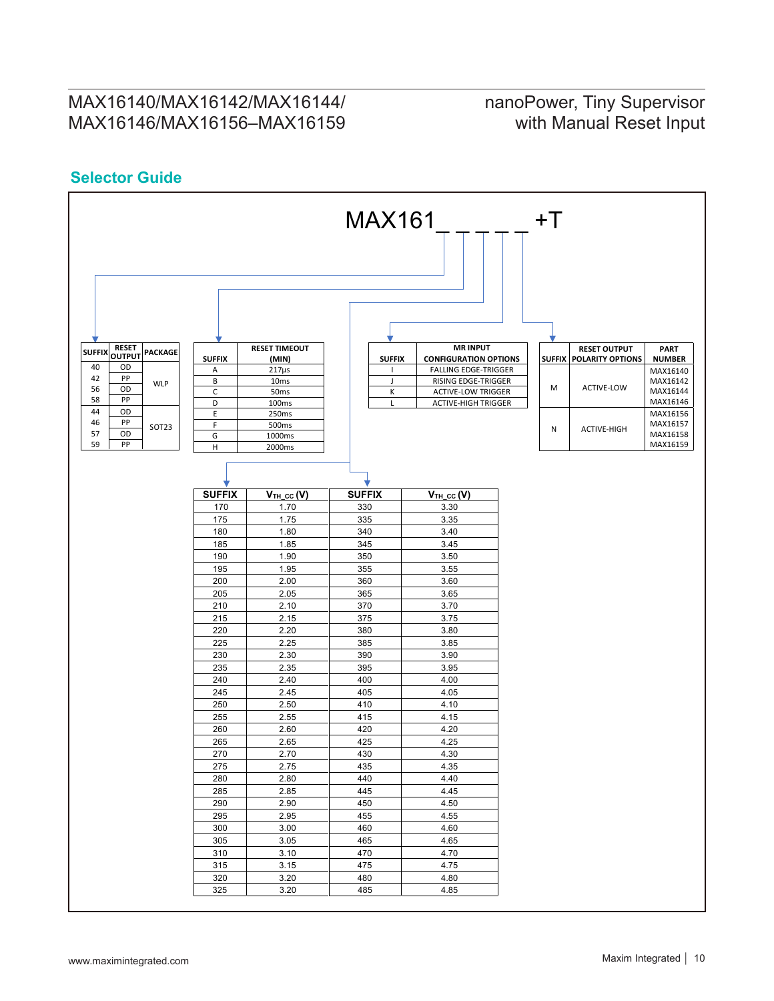## nanoPower, Tiny Supervisor with Manual Reset Input

## <span id="page-9-0"></span>**Selector Guide**

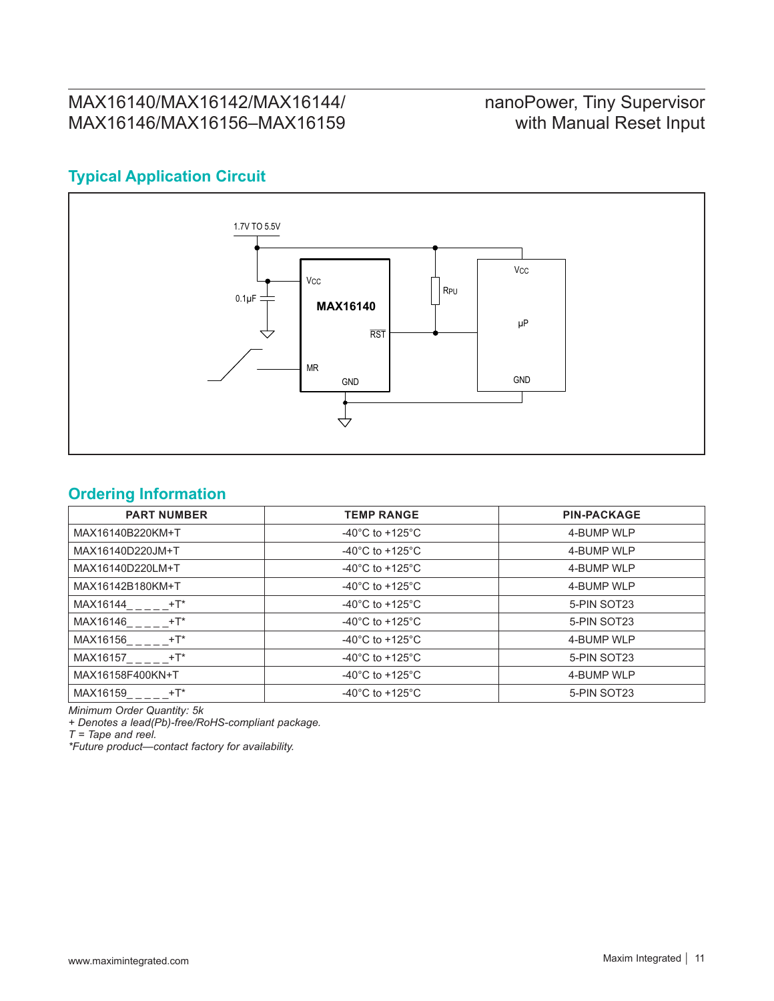# nanoPower, Tiny Supervisor with Manual Reset Input

## <span id="page-10-0"></span>**Typical Application Circuit**



## **Ordering Information**

| <b>PART NUMBER</b> | <b>TEMP RANGE</b>                     | <b>PIN-PACKAGE</b> |
|--------------------|---------------------------------------|--------------------|
| MAX16140B220KM+T   | -40 $^{\circ}$ C to +125 $^{\circ}$ C | 4-BUMP WLP         |
| MAX16140D220JM+T   | -40 $^{\circ}$ C to +125 $^{\circ}$ C | 4-BUMP WLP         |
| MAX16140D220LM+T   | -40 $^{\circ}$ C to +125 $^{\circ}$ C | 4-BUMP WLP         |
| MAX16142B180KM+T   | -40 $^{\circ}$ C to +125 $^{\circ}$ C | 4-BUMP WLP         |
| MAX16144<br>$+T^*$ | -40 $^{\circ}$ C to +125 $^{\circ}$ C | 5-PIN SOT23        |
| MAX16146<br>$+T^*$ | -40 $^{\circ}$ C to +125 $^{\circ}$ C | 5-PIN SOT23        |
| MAX16156<br>$+T^*$ | -40 $^{\circ}$ C to +125 $^{\circ}$ C | 4-BUMP WLP         |
| MAX16157<br>+T*    | -40 $^{\circ}$ C to +125 $^{\circ}$ C | 5-PIN SOT23        |
| MAX16158F400KN+T   | -40 $^{\circ}$ C to +125 $^{\circ}$ C | 4-BUMP WLP         |
| MAX16159<br>$+T^*$ | -40 $^{\circ}$ C to +125 $^{\circ}$ C | 5-PIN SOT23        |

*Minimum Order Quantity: 5k*

*+ Denotes a lead(Pb)-free/RoHS-compliant package.*

*T = Tape and reel.*

*\*Future product—contact factory for availability.*